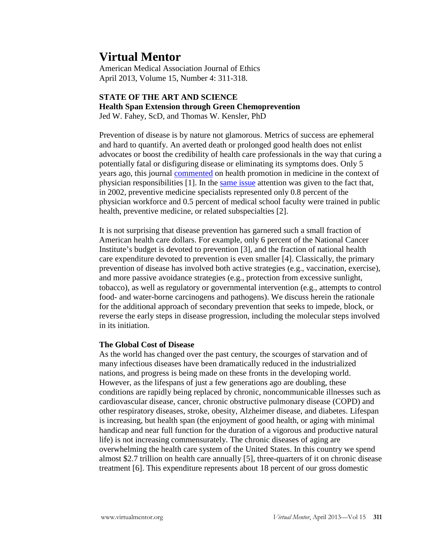# **Virtual Mentor**

American Medical Association Journal of Ethics April 2013, Volume 15, Number 4: 311-318.

# **STATE OF THE ART AND SCIENCE Health Span Extension through Green Chemoprevention** Jed W. Fahey, ScD, and Thomas W. Kensler, PhD

Prevention of disease is by nature not glamorous. Metrics of success are ephemeral and hard to quantify. An averted death or prolonged good health does not enlist advocates or boost the credibility of health care professionals in the way that curing a potentially fatal or disfiguring disease or eliminating its symptoms does. Only 5 years ago, this journal [commented](http://virtualmentor.ama-assn.org/2008/11/msoc1-0811.html) on health promotion in medicine in the context of physician responsibilities [1]. In the [same issue](http://virtualmentor.ama-assn.org/2008/11/medu1-0811.html) attention was given to the fact that, in 2002, preventive medicine specialists represented only 0.8 percent of the physician workforce and 0.5 percent of medical school faculty were trained in public health, preventive medicine, or related subspecialties [2].

It is not surprising that disease prevention has garnered such a small fraction of American health care dollars. For example, only 6 percent of the National Cancer Institute's budget is devoted to prevention [3], and the fraction of national health care expenditure devoted to prevention is even smaller [4]. Classically, the primary prevention of disease has involved both active strategies (e.g., vaccination, exercise), and more passive avoidance strategies (e.g., protection from excessive sunlight, tobacco), as well as regulatory or governmental intervention (e.g., attempts to control food- and water-borne carcinogens and pathogens). We discuss herein the rationale for the additional approach of secondary prevention that seeks to impede, block, or reverse the early steps in disease progression, including the molecular steps involved in its initiation.

# **The Global Cost of Disease**

As the world has changed over the past century, the scourges of starvation and of many infectious diseases have been dramatically reduced in the industrialized nations, and progress is being made on these fronts in the developing world. However, as the lifespans of just a few generations ago are doubling, these conditions are rapidly being replaced by chronic, noncommunicable illnesses such as cardiovascular disease, cancer, chronic obstructive pulmonary disease (COPD) and other respiratory diseases, stroke, obesity, Alzheimer disease, and diabetes. Lifespan is increasing, but health span (the enjoyment of good health, or aging with minimal handicap and near full function for the duration of a vigorous and productive natural life) is not increasing commensurately. The chronic diseases of aging are overwhelming the health care system of the United States. In this country we spend almost \$2.7 trillion on health care annually [5], three-quarters of it on chronic disease treatment [6]. This expenditure represents about 18 percent of our gross domestic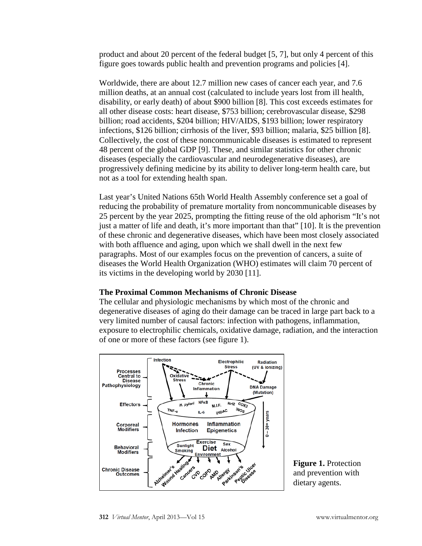product and about 20 percent of the federal budget [5, 7], but only 4 percent of this figure goes towards public health and prevention programs and policies [4].

Worldwide, there are about 12.7 million new cases of cancer each year, and 7.6 million deaths, at an annual cost (calculated to include years lost from ill health, disability, or early death) of about \$900 billion [8]. This cost exceeds estimates for all other disease costs: heart disease, \$753 billion; cerebrovascular disease, \$298 billion; road accidents, \$204 billion; HIV/AIDS, \$193 billion; lower respiratory infections, \$126 billion; cirrhosis of the liver, \$93 billion; malaria, \$25 billion [8]. Collectively, the cost of these noncommunicable diseases is estimated to represent 48 percent of the global GDP [9]. These, and similar statistics for other chronic diseases (especially the cardiovascular and neurodegenerative diseases), are progressively defining medicine by its ability to deliver long-term health care, but not as a tool for extending health span.

Last year's United Nations 65th World Health Assembly conference set a goal of reducing the probability of premature mortality from noncommunicable diseases by 25 percent by the year 2025, prompting the fitting reuse of the old aphorism "It's not just a matter of life and death, it's more important than that" [10]. It is the prevention of these chronic and degenerative diseases, which have been most closely associated with both affluence and aging, upon which we shall dwell in the next few paragraphs. Most of our examples focus on the prevention of cancers, a suite of diseases the World Health Organization (WHO) estimates will claim 70 percent of its victims in the developing world by 2030 [11].

# **The Proximal Common Mechanisms of Chronic Disease**

The cellular and physiologic mechanisms by which most of the chronic and degenerative diseases of aging do their damage can be traced in large part back to a very limited number of causal factors: infection with pathogens, inflammation, exposure to electrophilic chemicals, oxidative damage, radiation, and the interaction of one or more of these factors (see figure 1).



**Figure 1.** Protection and prevention with dietary agents.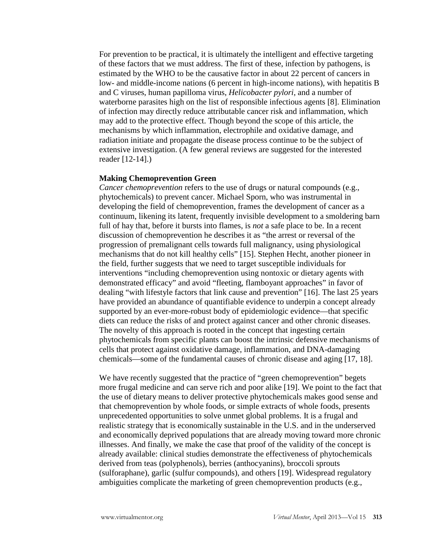For prevention to be practical, it is ultimately the intelligent and effective targeting of these factors that we must address. The first of these, infection by pathogens, is estimated by the WHO to be the causative factor in about 22 percent of cancers in low- and middle-income nations (6 percent in high-income nations), with hepatitis B and C viruses, human papilloma virus, *Helicobacter pylori*, and a number of waterborne parasites high on the list of responsible infectious agents [8]. Elimination of infection may directly reduce attributable cancer risk and inflammation, which may add to the protective effect. Though beyond the scope of this article, the mechanisms by which inflammation, electrophile and oxidative damage, and radiation initiate and propagate the disease process continue to be the subject of extensive investigation. (A few general reviews are suggested for the interested reader [12-14].)

#### **Making Chemoprevention Green**

*Cancer chemoprevention* refers to the use of drugs or natural compounds (e.g., phytochemicals) to prevent cancer. Michael Sporn, who was instrumental in developing the field of chemoprevention, frames the development of cancer as a continuum, likening its latent, frequently invisible development to a smoldering barn full of hay that, before it bursts into flames, is *not* a safe place to be. In a recent discussion of chemoprevention he describes it as "the arrest or reversal of the progression of premalignant cells towards full malignancy, using physiological mechanisms that do not kill healthy cells" [15]. Stephen Hecht, another pioneer in the field, further suggests that we need to target susceptible individuals for interventions "including chemoprevention using nontoxic or dietary agents with demonstrated efficacy" and avoid "fleeting, flamboyant approaches" in favor of dealing "with lifestyle factors that link cause and prevention" [16]. The last 25 years have provided an abundance of quantifiable evidence to underpin a concept already supported by an ever-more-robust body of epidemiologic evidence—that specific diets can reduce the risks of and protect against cancer and other chronic diseases. The novelty of this approach is rooted in the concept that ingesting certain phytochemicals from specific plants can boost the intrinsic defensive mechanisms of cells that protect against oxidative damage, inflammation, and DNA-damaging chemicals—some of the fundamental causes of chronic disease and aging [17, 18].

We have recently suggested that the practice of "green chemoprevention" begets more frugal medicine and can serve rich and poor alike [19]. We point to the fact that the use of dietary means to deliver protective phytochemicals makes good sense and that chemoprevention by whole foods, or simple extracts of whole foods, presents unprecedented opportunities to solve unmet global problems. It is a frugal and realistic strategy that is economically sustainable in the U.S. and in the underserved and economically deprived populations that are already moving toward more chronic illnesses. And finally, we make the case that proof of the validity of the concept is already available: clinical studies demonstrate the effectiveness of phytochemicals derived from teas (polyphenols), berries (anthocyanins), broccoli sprouts (sulforaphane), garlic (sulfur compounds), and others [19]. Widespread regulatory ambiguities complicate the marketing of green chemoprevention products (e.g.,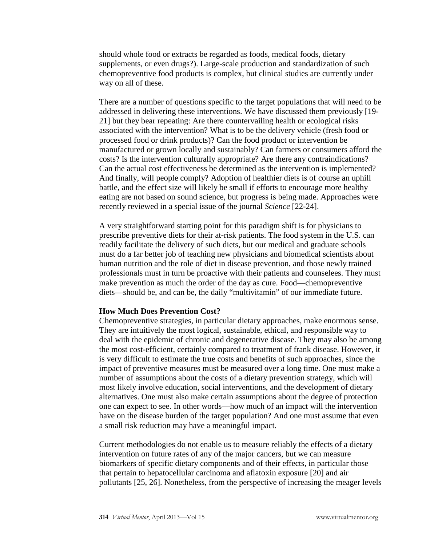should whole food or extracts be regarded as foods, medical foods, dietary supplements, or even drugs?). Large-scale production and standardization of such chemopreventive food products is complex, but clinical studies are currently under way on all of these.

There are a number of questions specific to the target populations that will need to be addressed in delivering these interventions. We have discussed them previously [19- 21] but they bear repeating: Are there countervailing health or ecological risks associated with the intervention? What is to be the delivery vehicle (fresh food or processed food or drink products)? Can the food product or intervention be manufactured or grown locally and sustainably? Can farmers or consumers afford the costs? Is the intervention culturally appropriate? Are there any contraindications? Can the actual cost effectiveness be determined as the intervention is implemented? And finally, will people comply? Adoption of healthier diets is of course an uphill battle, and the effect size will likely be small if efforts to encourage more healthy eating are not based on sound science, but progress is being made. Approaches were recently reviewed in a special issue of the journal *Science* [22-24].

A very straightforward starting point for this paradigm shift is for physicians to prescribe preventive diets for their at-risk patients. The food system in the U.S. can readily facilitate the delivery of such diets, but our medical and graduate schools must do a far better job of teaching new physicians and biomedical scientists about human nutrition and the role of diet in disease prevention, and those newly trained professionals must in turn be proactive with their patients and counselees. They must make prevention as much the order of the day as cure. Food—chemopreventive diets—should be, and can be, the daily "multivitamin" of our immediate future.

## **How Much Does Prevention Cost?**

Chemopreventive strategies, in particular dietary approaches, make enormous sense. They are intuitively the most logical, sustainable, ethical, and responsible way to deal with the epidemic of chronic and degenerative disease. They may also be among the most cost-efficient, certainly compared to treatment of frank disease. However, it is very difficult to estimate the true costs and benefits of such approaches, since the impact of preventive measures must be measured over a long time. One must make a number of assumptions about the costs of a dietary prevention strategy, which will most likely involve education, social interventions, and the development of dietary alternatives. One must also make certain assumptions about the degree of protection one can expect to see. In other words—how much of an impact will the intervention have on the disease burden of the target population? And one must assume that even a small risk reduction may have a meaningful impact.

Current methodologies do not enable us to measure reliably the effects of a dietary intervention on future rates of any of the major cancers, but we can measure biomarkers of specific dietary components and of their effects, in particular those that pertain to hepatocellular carcinoma and aflatoxin exposure [20] and air pollutants [25, 26]. Nonetheless, from the perspective of increasing the meager levels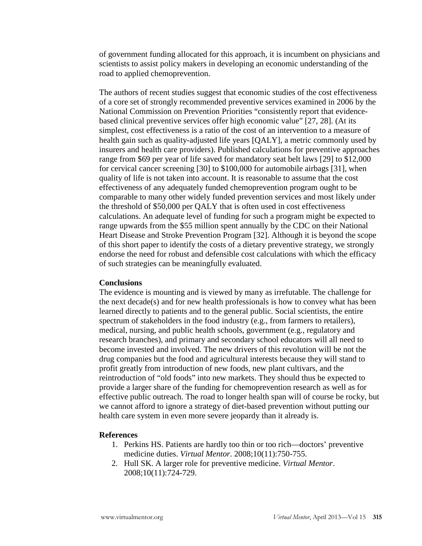of government funding allocated for this approach, it is incumbent on physicians and scientists to assist policy makers in developing an economic understanding of the road to applied chemoprevention.

The authors of recent studies suggest that economic studies of the cost effectiveness of a core set of strongly recommended preventive services examined in 2006 by the National Commission on Prevention Priorities "consistently report that evidencebased clinical preventive services offer high economic value" [27, 28]. (At its simplest, cost effectiveness is a ratio of the cost of an intervention to a measure of health gain such as quality-adjusted life years [QALY], a metric commonly used by insurers and health care providers). Published calculations for preventive approaches range from \$69 per year of life saved for mandatory seat belt laws [29] to \$12,000 for cervical cancer screening [30] to \$100,000 for automobile airbags [31], when quality of life is not taken into account. It is reasonable to assume that the cost effectiveness of any adequately funded chemoprevention program ought to be comparable to many other widely funded prevention services and most likely under the threshold of \$50,000 per QALY that is often used in cost effectiveness calculations. An adequate level of funding for such a program might be expected to range upwards from the \$55 million spent annually by the CDC on their National Heart Disease and Stroke Prevention Program [32]. Although it is beyond the scope of this short paper to identify the costs of a dietary preventive strategy, we strongly endorse the need for robust and defensible cost calculations with which the efficacy of such strategies can be meaningfully evaluated.

#### **Conclusions**

The evidence is mounting and is viewed by many as irrefutable. The challenge for the next decade(s) and for new health professionals is how to convey what has been learned directly to patients and to the general public. Social scientists, the entire spectrum of stakeholders in the food industry (e.g., from farmers to retailers), medical, nursing, and public health schools, government (e.g., regulatory and research branches), and primary and secondary school educators will all need to become invested and involved. The new drivers of this revolution will be not the drug companies but the food and agricultural interests because they will stand to profit greatly from introduction of new foods, new plant cultivars, and the reintroduction of "old foods" into new markets. They should thus be expected to provide a larger share of the funding for chemoprevention research as well as for effective public outreach. The road to longer health span will of course be rocky, but we cannot afford to ignore a strategy of diet-based prevention without putting our health care system in even more severe jeopardy than it already is.

#### **References**

- 1. Perkins HS. Patients are hardly too thin or too rich—doctors' preventive medicine duties. *Virtual Mentor*. 2008;10(11):750-755.
- 2. Hull SK. A larger role for preventive medicine. *Virtual Mentor*. 2008;10(11):724-729.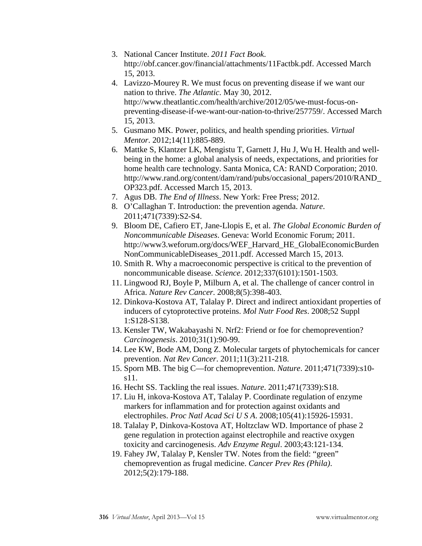- 3. National Cancer Institute. *2011 Fact Book*. http://obf.cancer.gov/financial/attachments/11Factbk.pdf. Accessed March 15, 2013.
- 4. Lavizzo-Mourey R. We must focus on preventing disease if we want our nation to thrive. *The Atlantic*. May 30, 2012. http://www.theatlantic.com/health/archive/2012/05/we-must-focus-onpreventing-disease-if-we-want-our-nation-to-thrive/257759/. Accessed March 15, 2013.
- 5. Gusmano MK. Power, politics, and health spending priorities. *Virtual Mentor*. 2012;14(11):885-889.
- 6. Mattke S, Klantzer LK, Mengistu T, Garnett J, Hu J, Wu H. Health and wellbeing in the home: a global analysis of needs, expectations, and priorities for home health care technology. Santa Monica, CA: RAND Corporation; 2010. http://www.rand.org/content/dam/rand/pubs/occasional\_papers/2010/RAND\_ OP323.pdf. Accessed March 15, 2013.
- 7. Agus DB. *The End of Illness*. New York: Free Press; 2012.
- 8. O'Callaghan T. Introduction: the prevention agenda. *Nature*. 2011;471(7339):S2-S4.
- 9. Bloom DE, Cafiero ET, Jane-Llopis E, et al. *The Global Economic Burden of Noncommunicable Diseases*. Geneva: World Economic Forum; 2011. http://www3.weforum.org/docs/WEF\_Harvard\_HE\_GlobalEconomicBurden NonCommunicableDiseases\_2011.pdf. Accessed March 15, 2013.
- 10. Smith R. Why a macroeconomic perspective is critical to the prevention of noncommunicable disease. *Science*. 2012;337(6101):1501-1503.
- 11. Lingwood RJ, Boyle P, Milburn A, et al. The challenge of cancer control in Africa. *Nature Rev Cancer*. 2008;8(5):398-403.
- 12. Dinkova-Kostova AT, Talalay P. Direct and indirect antioxidant properties of inducers of cytoprotective proteins. *Mol Nutr Food Res*. 2008;52 Suppl 1:S128-S138.
- 13. Kensler TW, Wakabayashi N. Nrf2: Friend or foe for chemoprevention? *Carcinogenesis*. 2010;31(1):90-99.
- 14. Lee KW, Bode AM, Dong Z. Molecular targets of phytochemicals for cancer prevention. *Nat Rev Cancer*. 2011;11(3):211-218.
- 15. Sporn MB. The big C—for chemoprevention. *Nature*. 2011;471(7339):s10 s11.
- 16. Hecht SS. Tackling the real issues. *Nature*. 2011;471(7339):S18.
- 17. Liu H, inkova-Kostova AT, Talalay P. Coordinate regulation of enzyme markers for inflammation and for protection against oxidants and electrophiles. *Proc Natl Acad Sci U S A*. 2008;105(41):15926-15931.
- 18. Talalay P, Dinkova-Kostova AT, Holtzclaw WD. Importance of phase 2 gene regulation in protection against electrophile and reactive oxygen toxicity and carcinogenesis. *Adv Enzyme Regul*. 2003;43:121-134.
- 19. Fahey JW, Talalay P, Kensler TW. Notes from the field: "green" chemoprevention as frugal medicine. *Cancer Prev Res (Phila)*. 2012;5(2):179-188.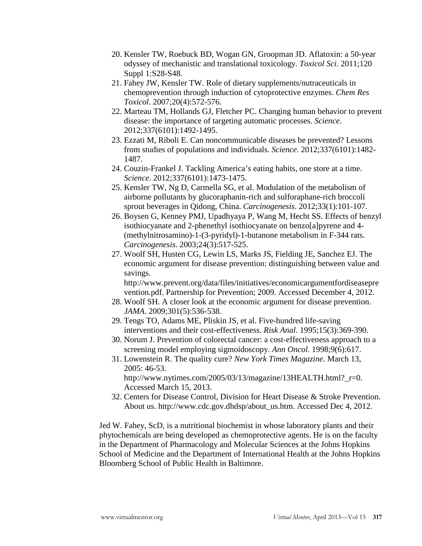- 20. Kensler TW, Roebuck BD, Wogan GN, Groopman JD. Aflatoxin: a 50-year odyssey of mechanistic and translational toxicology. *Toxicol Sci*. 2011;120 Suppl 1:S28-S48.
- 21. Fahey JW, Kensler TW. Role of dietary supplements/nutraceuticals in chemoprevention through induction of cytoprotective enzymes. *Chem Res Toxicol*. 2007;20(4):572-576.
- 22. Marteau TM, Hollands GJ, Fletcher PC. Changing human behavior to prevent disease: the importance of targeting automatic processes. *Science*. 2012;337(6101):1492-1495.
- 23. Ezzati M, Riboli E. Can noncommunicable diseases be prevented? Lessons from studies of populations and individuals. *Science*. 2012;337(6101):1482- 1487.
- 24. Couzin-Frankel J. Tackling America's eating habits, one store at a time. *Science*. 2012;337(6101):1473-1475.
- 25. Kensler TW, Ng D, Carmella SG, et al. Modulation of the metabolism of airborne pollutants by glucoraphanin-rich and sulforaphane-rich broccoli sprout beverages in Qidong, China. *Carcinogenesis*. 2012;33(1):101-107.
- 26. Boysen G, Kenney PMJ, Upadhyaya P, Wang M, Hecht SS. Effects of benzyl isothiocyanate and 2-phenethyl isothiocyanate on benzo[a]pyrene and 4- (methylnitrosamino)-1-(3-pyridyl)-1-butanone metabolism in F-344 rats. *Carcinogenesis*. 2003;24(3):517-525.
- 27. Woolf SH, Husten CG, Lewin LS, Marks JS, Fielding JE, Sanchez EJ. The economic argument for disease prevention: distinguishing between value and savings.

http://www.prevent.org/data/files/initiatives/economicargumentfordiseasepre vention.pdf. Partnership for Prevention; 2009. Accessed December 4, 2012.

- 28. Woolf SH. A closer look at the economic argument for disease prevention. *JAMA*. 2009;301(5):536-538.
- 29. Tengs TO, Adams ME, Pliskin JS, et al. Five-hundred life-saving interventions and their cost-effectiveness. *Risk Anal*. 1995;15(3):369-390.
- 30. Norum J. Prevention of colorectal cancer: a cost-effectiveness approach to a screening model employing sigmoidoscopy. *Ann Oncol*. 1998;9(6):617.
- 31. Lowenstein R. The quality cure? *New York Times Magazine.* March 13, 2005: 46-53. http://www.nytimes.com/2005/03/13/magazine/13HEALTH.html?\_r=0. Accessed March 15, 2013.
- 32. Centers for Disease Control, Division for Heart Disease & Stroke Prevention. About us. http://www.cdc.gov.dhdsp/about\_us.htm. Accessed Dec 4, 2012.

Jed W. Fahey, ScD, is a nutritional biochemist in whose laboratory plants and their phytochemicals are being developed as chemoprotective agents. He is on the faculty in the Department of Pharmacology and Molecular Sciences at the Johns Hopkins School of Medicine and the Department of International Health at the Johns Hopkins Bloomberg School of Public Health in Baltimore.